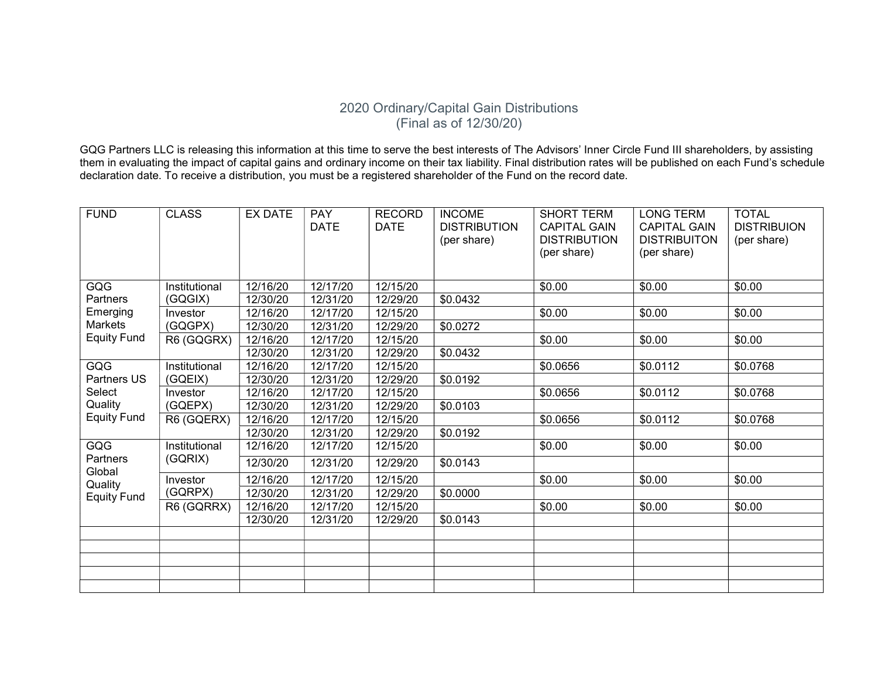## 2020 Ordinary/Capital Gain Distributions (Final as of 12/30/20)

GQG Partners LLC is releasing this information at this time to serve the best interests of The Advisors' Inner Circle Fund III shareholders, by assisting them in evaluating the impact of capital gains and ordinary income on their tax liability. Final distribution rates will be published on each Fund's schedule declaration date. To receive a distribution, you must be a registered shareholder of the Fund on the record date.

| <b>FUND</b>                                                         | <b>CLASS</b>             | <b>EX DATE</b> | <b>PAY</b><br><b>DATE</b> | <b>RECORD</b><br><b>DATE</b> | <b>INCOME</b><br><b>DISTRIBUTION</b><br>(per share) | <b>SHORT TERM</b><br><b>CAPITAL GAIN</b><br><b>DISTRIBUTION</b><br>(per share) | <b>LONG TERM</b><br><b>CAPITAL GAIN</b><br><b>DISTRIBUITON</b><br>(per share) | <b>TOTAL</b><br><b>DISTRIBUION</b><br>(per share) |
|---------------------------------------------------------------------|--------------------------|----------------|---------------------------|------------------------------|-----------------------------------------------------|--------------------------------------------------------------------------------|-------------------------------------------------------------------------------|---------------------------------------------------|
| <b>GQG</b><br>Partners<br>Emerging<br>Markets<br><b>Equity Fund</b> | Institutional<br>(GQGIX) | 12/16/20       | 12/17/20                  | 12/15/20                     |                                                     | \$0.00                                                                         | \$0.00                                                                        | \$0.00                                            |
|                                                                     |                          | 12/30/20       | 12/31/20                  | 12/29/20                     | \$0.0432                                            |                                                                                |                                                                               |                                                   |
|                                                                     | Investor<br>(GQGPX)      | 12/16/20       | 12/17/20                  | 12/15/20                     |                                                     | \$0.00                                                                         | \$0.00                                                                        | \$0.00                                            |
|                                                                     |                          | 12/30/20       | 12/31/20                  | 12/29/20                     | \$0.0272                                            |                                                                                |                                                                               |                                                   |
|                                                                     | R6 (GQGRX)               | 12/16/20       | 12/17/20                  | 12/15/20                     |                                                     | \$0.00                                                                         | \$0.00                                                                        | \$0.00                                            |
|                                                                     |                          | 12/30/20       | 12/31/20                  | 12/29/20                     | \$0.0432                                            |                                                                                |                                                                               |                                                   |
| GQG<br>Partners US<br>Select<br>Quality<br><b>Equity Fund</b>       | Institutional<br>(GQEIX) | 12/16/20       | 12/17/20                  | 12/15/20                     |                                                     | \$0.0656                                                                       | \$0.0112                                                                      | \$0.0768                                          |
|                                                                     |                          | 12/30/20       | 12/31/20                  | 12/29/20                     | \$0.0192                                            |                                                                                |                                                                               |                                                   |
|                                                                     | Investor<br>(GQEPX)      | 12/16/20       | 12/17/20                  | 12/15/20                     |                                                     | \$0.0656                                                                       | \$0.0112                                                                      | \$0.0768                                          |
|                                                                     |                          | 12/30/20       | 12/31/20                  | 12/29/20                     | \$0.0103                                            |                                                                                |                                                                               |                                                   |
|                                                                     | R6 (GQERX)               | 12/16/20       | 12/17/20                  | 12/15/20                     |                                                     | \$0.0656                                                                       | \$0.0112                                                                      | \$0.0768                                          |
|                                                                     |                          | 12/30/20       | 12/31/20                  | 12/29/20                     | \$0.0192                                            |                                                                                |                                                                               |                                                   |
| <b>GQG</b><br>Partners<br>Global<br>Quality<br><b>Equity Fund</b>   | Institutional<br>(GQRIX) | 12/16/20       | 12/17/20                  | 12/15/20                     |                                                     | \$0.00                                                                         | \$0.00                                                                        | \$0.00                                            |
|                                                                     |                          | 12/30/20       | 12/31/20                  | 12/29/20                     | \$0.0143                                            |                                                                                |                                                                               |                                                   |
|                                                                     | Investor                 | 12/16/20       | 12/17/20                  | 12/15/20                     |                                                     | \$0.00                                                                         | \$0.00                                                                        | \$0.00                                            |
|                                                                     | (GQRPX)                  | 12/30/20       | 12/31/20                  | 12/29/20                     | \$0.0000                                            |                                                                                |                                                                               |                                                   |
|                                                                     | R6 (GQRRX)               | 12/16/20       | 12/17/20                  | 12/15/20                     |                                                     | \$0.00                                                                         | \$0.00                                                                        | \$0.00                                            |
|                                                                     |                          | 12/30/20       | 12/31/20                  | 12/29/20                     | \$0.0143                                            |                                                                                |                                                                               |                                                   |
|                                                                     |                          |                |                           |                              |                                                     |                                                                                |                                                                               |                                                   |
|                                                                     |                          |                |                           |                              |                                                     |                                                                                |                                                                               |                                                   |
|                                                                     |                          |                |                           |                              |                                                     |                                                                                |                                                                               |                                                   |
|                                                                     |                          |                |                           |                              |                                                     |                                                                                |                                                                               |                                                   |
|                                                                     |                          |                |                           |                              |                                                     |                                                                                |                                                                               |                                                   |